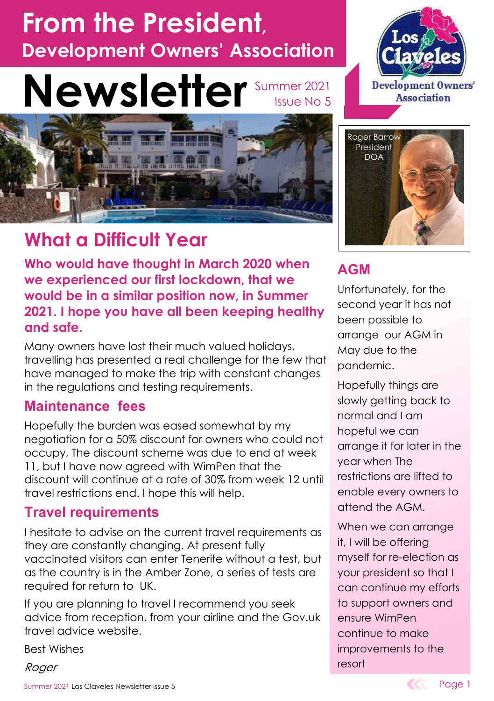# **From the President, Development Owners' Association**

### **Newsletter** Summer 2021 Issue No 5



# **What a Difficult Year**

**Who would have thought in March 2020 when we experienced our first lockdown, that we would be in a similar position now, in Summer 2021. I hope you have all been keeping healthy and safe.**

Many owners have lost their much valued holidays, travelling has presented a real challenge for the few that have managed to make the trip with constant changes in the regulations and testing requirements.

#### **Maintenance fees**

Hopefully the burden was eased somewhat by my negotiation for a 50% discount for owners who could not occupy, The discount scheme was due to end at week 11, but I have now agreed with WimPen that the discount will continue at a rate of 30% from week 12 until travel restrictions end. I hope this will help.

### **Travel requirements**

I hesitate to advise on the current travel requirements as they are constantly changing. At present fully vaccinated visitors can enter Tenerife without a test, but as the country is in the Amber Zone, a series of tests are required for return to UK.

If you are planning to travel I recommend you seek advice from reception, from your airline and the Gov.uk travel advice website.

Best Wishes

Roger





### **AGM**

Unfortunately, for the second year it has not been possible to arrange our AGM in May due to the pandemic.

Hopefully things are slowly getting back to normal and I am hopeful we can arrange it for later in the year when The restrictions are lifted to enable every owners to attend the AGM.

When we can arrange it, I will be offering myself for re-election as your president so that I can continue my efforts to support owners and ensure WimPen continue to make improvements to the resort

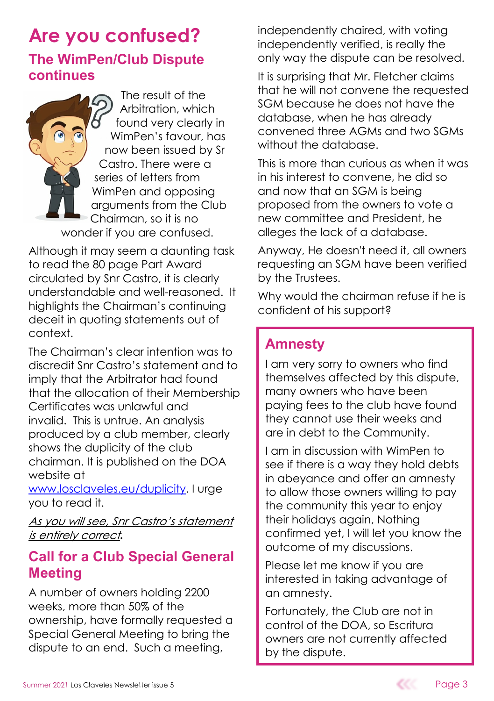### **Are you confused? The WimPen/Club Dispute continues**

The result of the Arbitration, which found very clearly in WimPen's favour, has now been issued by Sr Castro. There were a series of letters from WimPen and opposing arguments from the Club Chairman, so it is no wonder if you are confused.

Although it may seem a daunting task to read the 80 page Part Award circulated by Snr Castro, it is clearly understandable and well-reasoned. It highlights the Chairman's continuing deceit in quoting statements out of context.

The Chairman's clear intention was to discredit Snr Castro's statement and to imply that the Arbitrator had found that the allocation of their Membership Certificates was unlawful and invalid. This is untrue. An analysis produced by a club member, clearly shows the duplicity of the club chairman. It is published on the DOA website at

www.losclaveles.eu/duplicity. I urge you to read it.

As you will see, Snr Castro's statement *is* entirely correct.

### **Call for a Club Special General Meeting**

A number of owners holding 2200 weeks, more than 50% of the ownership, have formally requested a Special General Meeting to bring the dispute to an end. Such a meeting,

independently chaired, with voting independently verified, is really the only way the dispute can be resolved.

It is surprising that Mr. Fletcher claims that he will not convene the requested SGM because he does not have the database, when he has already convened three AGMs and two SGMs without the database.

This is more than curious as when it was in his interest to convene, he did so and now that an SGM is being proposed from the owners to vote a new committee and President, he alleges the lack of a database.

Anyway, He doesn't need it, all owners requesting an SGM have been verified by the Trustees.

Why would the chairman refuse if he is confident of his support?

### **Amnesty**

I am very sorry to owners who find themselves affected by this dispute, many owners who have been paying fees to the club have found they cannot use their weeks and are in debt to the Community.

I am in discussion with WimPen to see if there is a way they hold debts in abeyance and offer an amnesty to allow those owners willing to pay the community this year to enjoy their holidays again, Nothing confirmed yet, I will let you know the outcome of my discussions.

Please let me know if you are interested in taking advantage of an amnesty.

Fortunately, the Club are not in control of the DOA, so Escritura owners are not currently affected by the dispute.

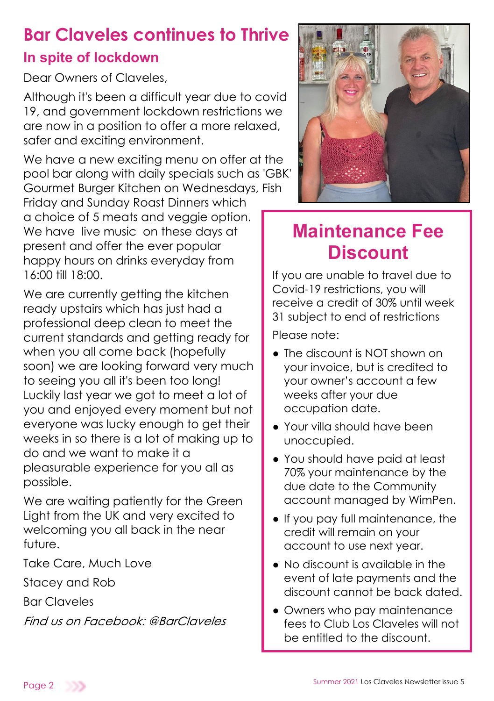# **Bar Claveles continues to Thrive**

### **In spite of lockdown**

Dear Owners of Claveles

Although it's been a difficult year due to covid 19, and government lockdown restrictions we are now in a position to offer a more relaxed, safer and exciting environment.

We have a new exciting menu on offer at the pool bar along with daily specials such as 'GBK' Gourmet Burger Kitchen on Wednesdays, Fish Friday and Sunday Roast Dinners which

a choice of 5 meats and veggie option. We have live music on these days at present and offer the ever popular happy hours on drinks everyday from 16:00 till 18:00.

We are currently getting the kitchen ready upstairs which has just had a professional deep clean to meet the current standards and getting ready for when you all come back (hopefully soon) we are looking forward very much to seeing you all it's been too long! Luckily last year we got to meet a lot of you and enjoyed every moment but not everyone was lucky enough to get their weeks in so there is a lot of making up to do and we want to make it a pleasurable experience for you all as possible.

We are waiting patiently for the Green Light from the UK and very excited to welcoming you all back in the near future.

Take Care, Much Love

Stacey and Rob

Bar Claveles

Find us on Facebook: @BarClaveles



# **Maintenance Fee Discount**

If you are unable to travel due to Covid-19 restrictions, you will receive a credit of 30% until week 31 subject to end of restrictions

Please note:

- The discount is NOT shown on your invoice, but is credited to your owner's account a few weeks after your due occupation date.
- Your villa should have been unoccupied.
- You should have paid at least 70% your maintenance by the due date to the Community account managed by WimPen.
- If you pay full maintenance, the credit will remain on your account to use next year.
- No discount is available in the event of late payments and the discount cannot be back dated.
- Owners who pay maintenance fees to Club Los Claveles will not be entitled to the discount.